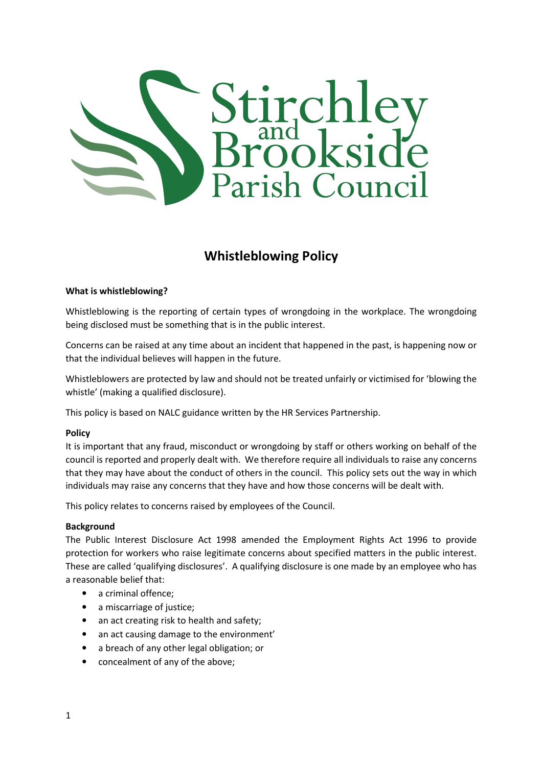

# Whistleblowing Policy

#### What is whistleblowing?

Whistleblowing is the reporting of certain types of wrongdoing in the workplace. The wrongdoing being disclosed must be something that is in the public interest.

Concerns can be raised at any time about an incident that happened in the past, is happening now or that the individual believes will happen in the future.

Whistleblowers are protected by law and should not be treated unfairly or victimised for 'blowing the whistle' (making a qualified disclosure).

This policy is based on NALC guidance written by the HR Services Partnership.

#### Policy

It is important that any fraud, misconduct or wrongdoing by staff or others working on behalf of the council is reported and properly dealt with. We therefore require all individuals to raise any concerns that they may have about the conduct of others in the council. This policy sets out the way in which individuals may raise any concerns that they have and how those concerns will be dealt with.

This policy relates to concerns raised by employees of the Council.

#### Background

The Public Interest Disclosure Act 1998 amended the Employment Rights Act 1996 to provide protection for workers who raise legitimate concerns about specified matters in the public interest. These are called 'qualifying disclosures'. A qualifying disclosure is one made by an employee who has a reasonable belief that:

- a criminal offence:
- a miscarriage of justice;
- an act creating risk to health and safety;
- an act causing damage to the environment'
- a breach of any other legal obligation; or
- concealment of any of the above;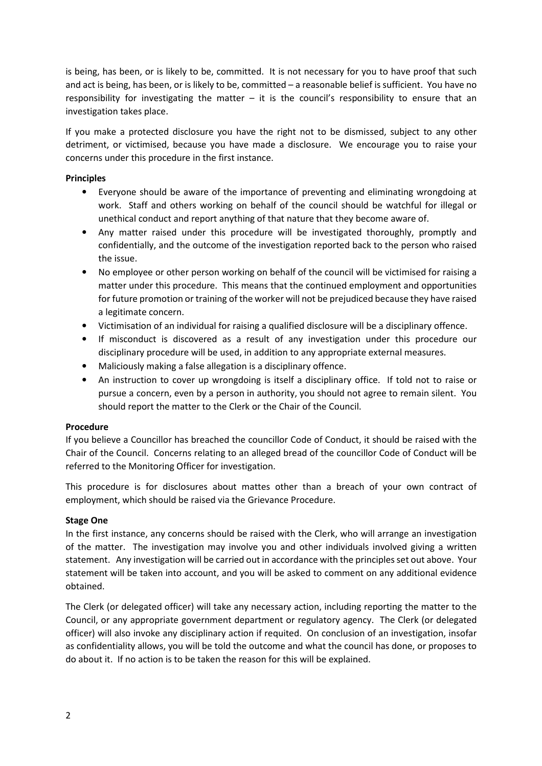is being, has been, or is likely to be, committed. It is not necessary for you to have proof that such and act is being, has been, or is likely to be, committed – a reasonable belief is sufficient. You have no responsibility for investigating the matter – it is the council's responsibility to ensure that an investigation takes place.

If you make a protected disclosure you have the right not to be dismissed, subject to any other detriment, or victimised, because you have made a disclosure. We encourage you to raise your concerns under this procedure in the first instance.

## **Principles**

- Everyone should be aware of the importance of preventing and eliminating wrongdoing at work. Staff and others working on behalf of the council should be watchful for illegal or unethical conduct and report anything of that nature that they become aware of.
- Any matter raised under this procedure will be investigated thoroughly, promptly and confidentially, and the outcome of the investigation reported back to the person who raised the issue.
- No employee or other person working on behalf of the council will be victimised for raising a matter under this procedure. This means that the continued employment and opportunities for future promotion or training of the worker will not be prejudiced because they have raised a legitimate concern.
- Victimisation of an individual for raising a qualified disclosure will be a disciplinary offence.
- If misconduct is discovered as a result of any investigation under this procedure our disciplinary procedure will be used, in addition to any appropriate external measures.
- Maliciously making a false allegation is a disciplinary offence.
- An instruction to cover up wrongdoing is itself a disciplinary office. If told not to raise or pursue a concern, even by a person in authority, you should not agree to remain silent. You should report the matter to the Clerk or the Chair of the Council.

#### Procedure

If you believe a Councillor has breached the councillor Code of Conduct, it should be raised with the Chair of the Council. Concerns relating to an alleged bread of the councillor Code of Conduct will be referred to the Monitoring Officer for investigation.

This procedure is for disclosures about mattes other than a breach of your own contract of employment, which should be raised via the Grievance Procedure.

## Stage One

In the first instance, any concerns should be raised with the Clerk, who will arrange an investigation of the matter. The investigation may involve you and other individuals involved giving a written statement. Any investigation will be carried out in accordance with the principles set out above. Your statement will be taken into account, and you will be asked to comment on any additional evidence obtained.

The Clerk (or delegated officer) will take any necessary action, including reporting the matter to the Council, or any appropriate government department or regulatory agency. The Clerk (or delegated officer) will also invoke any disciplinary action if requited. On conclusion of an investigation, insofar as confidentiality allows, you will be told the outcome and what the council has done, or proposes to do about it. If no action is to be taken the reason for this will be explained.